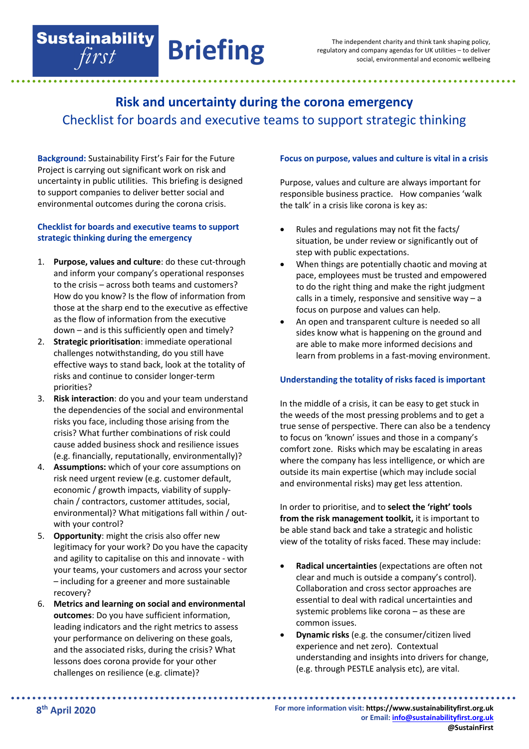# **Risk and uncertainty during the corona emergency** Checklist for boards and executive teams to support strategic thinking

**Briefing**

**Background:** Sustainability First's Fair for the Future Project is carrying out significant work on risk and uncertainty in public utilities. This briefing is designed to support companies to deliver better social and environmental outcomes during the corona crisis.

**Sustainability** first

## **Checklist for boards and executive teams to support strategic thinking during the emergency**

- 1. **Purpose, values and culture**: do these cut-through and inform your company's operational responses to the crisis – across both teams and customers? How do you know? Is the flow of information from those at the sharp end to the executive as effective as the flow of information from the executive down – and is this sufficiently open and timely?
- 2. **Strategic prioritisation**: immediate operational challenges notwithstanding, do you still have effective ways to stand back, look at the totality of risks and continue to consider longer-term priorities?
- 3. **Risk interaction**: do you and your team understand the dependencies of the social and environmental risks you face, including those arising from the crisis? What further combinations of risk could cause added business shock and resilience issues (e.g. financially, reputationally, environmentally)?
- 4. **Assumptions:** which of your core assumptions on risk need urgent review (e.g. customer default, economic / growth impacts, viability of supplychain / contractors, customer attitudes, social, environmental)? What mitigations fall within / outwith your control?
- 5. **Opportunity**: might the crisis also offer new legitimacy for your work? Do you have the capacity and agility to capitalise on this and innovate - with your teams, your customers and across your sector – including for a greener and more sustainable recovery?
- 6. **Metrics and learning on social and environmental outcomes**: Do you have sufficient information, leading indicators and the right metrics to assess your performance on delivering on these goals, and the associated risks, during the crisis? What lessons does corona provide for your other challenges on resilience (e.g. climate)?

## **Focus on purpose, values and culture is vital in a crisis**

Purpose, values and culture are always important for responsible business practice. How companies 'walk the talk' in a crisis like corona is key as:

- Rules and regulations may not fit the facts/ situation, be under review or significantly out of step with public expectations.
- When things are potentially chaotic and moving at pace, employees must be trusted and empowered to do the right thing and make the right judgment calls in a timely, responsive and sensitive way  $-$  a focus on purpose and values can help.
- An open and transparent culture is needed so all sides know what is happening on the ground and are able to make more informed decisions and learn from problems in a fast-moving environment.

## **Understanding the totality of risks faced is important**

In the middle of a crisis, it can be easy to get stuck in the weeds of the most pressing problems and to get a true sense of perspective. There can also be a tendency to focus on 'known' issues and those in a company's comfort zone. Risks which may be escalating in areas where the company has less intelligence, or which are outside its main expertise (which may include social and environmental risks) may get less attention.

In order to prioritise, and to **select the 'right' tools from the risk management toolkit,** it is important to be able stand back and take a strategic and holistic view of the totality of risks faced. These may include:

- **Radical uncertainties** (expectations are often not clear and much is outside a company's control). Collaboration and cross sector approaches are essential to deal with radical uncertainties and systemic problems like corona – as these are common issues.
- **Dynamic risks** (e.g. the consumer/citizen lived experience and net zero). Contextual understanding and insights into drivers for change, (e.g. through PESTLE analysis etc), are vital.